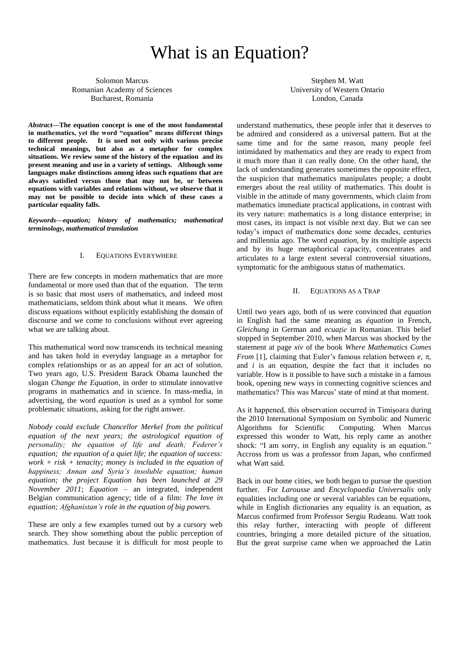# What is an Equation?

Solomon Marcus Romanian Academy of Sciences Bucharest, Romania

*Abstract***—The equation concept is one of the most fundamental in mathematics, yet the word "equation" means different things to different people. It is used not only with various precise technical meanings, but also as a metaphor for complex situations. We review some of the history of the equation and its present meaning and use in a variety of settings. Although some languages make distinctions among ideas such equations that are always satisfied versus those that may not be, or between equations with variables and relations without, we observe that it may not be possible to decide into which of these cases a particular equality falls.**

*Keywords—equation; history of mathematics; mathematical terminology, mathematical translation*

#### I. EQUATIONS EVERYWHERE

There are few concepts in modern mathematics that are more fundamental or more used than that of the equation. The term is so basic that most users of mathematics, and indeed most mathematicians, seldom think about what it means. We often discuss equations without explicitly establishing the domain of discourse and we come to conclusions without ever agreeing what we are talking about.

This mathematical word now transcends its technical meaning and has taken hold in everyday language as a metaphor for complex relationships or as an appeal for an act of solution*.*  Two years ago, U.S. President Barack Obama launched the slogan *Change the Equation*, in order to stimulate innovative programs in mathematics and in science. In mass-media, in advertising, the word *equation* is used as a symbol for some problematic situations, asking for the right answer.

*Nobody could exclude Chancellor Merkel from the political equation of the next years; the astrological equation of personality; the equation of life and death; Federer's equation; the equation of a quiet life; the equation of success: work + risk + tenacity; money is included in the equation of happiness; Annan and Syria's insoluble equation; human equation; the project Equation has been launched at 29 November 2011*; *Equation* – an integrated, independent Belgian communication agency; title of a film: *The love in equation; Afghanistan's role in the equation of big powers.*

These are only a few examples turned out by a cursory web search. They show something about the public perception of mathematics. Just because it is difficult for most people to

Stephen M. Watt University of Western Ontario London, Canada

understand mathematics, these people infer that it deserves to be admired and considered as a universal pattern. But at the same time and for the same reason, many people feel intimidated by mathematics and they are ready to expect from it much more than it can really done. On the other hand, the lack of understanding generates sometimes the opposite effect, the suspicion that mathematics manipulates people; a doubt emerges about the real utility of mathematics. This doubt is visible in the attitude of many governments, which claim from mathematics immediate practical applications, in contrast with its very nature: mathematics is a long distance enterprise; in most cases, its impact is not visible next day. But we can see today's impact of mathematics done some decades, centuries and millennia ago. The word *equation*, by its multiple aspects and by its huge metaphorical capacity, concentrates and articulates to a large extent several controversial situations, symptomatic for the ambiguous status of mathematics.

# II. EQUATIONS AS A TRAP

Until two years ago, both of us were convinced that *equation* in English had the same meaning as *équation* in French, *Gleichung* in German and *ecuaţie* in Romanian. This belief stopped in September 2010, when Marcus was shocked by the statement at page *xiv* of the book *Where Mathematics Comes From* [1], claiming that Euler's famous relation between  $e$ ,  $\pi$ , and *i* is an equation, despite the fact that it includes no variable. How is it possible to have such a mistake in a famous book, opening new ways in connecting cognitive sciences and mathematics? This was Marcus' state of mind at that moment.

As it happened, this observation occurred in Timişoara during the 2010 International Symposium on Symbolic and Numeric<br>Algorithms for Scientific Computing. When Marcus Computing. When Marcus expressed this wonder to Watt, his reply came as another shock: "I am sorry, in English any equality is an equation." Accross from us was a professor from Japan, who confirmed what Watt said.

Back in our home cities, we both began to pursue the question further. For *Larousse* and *Encyclopaedia Universalis* only equalities including one or several variables can be equations, while in English dictionaries any equality is an equation, as Marcus confirmed from Professor Sergiu Rudeanu. Watt took this relay further, interacting with people of different countries, bringing a more detailed picture of the situation. But the great surprise came when we approached the Latin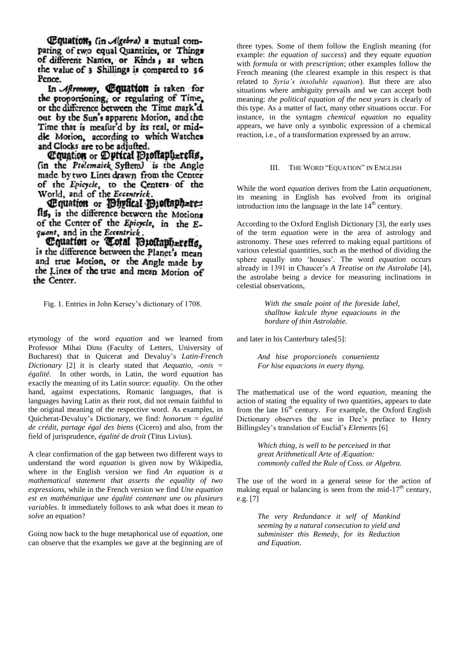**Equation**, (in *Algebra*) a mutual comparing of two equal Quantities, or Things of different Names, or Kinds, as when the value of 3 Shillings is compared to 36 Pence.

In ARronomy. **Equation** is taken for the proportioning, or regularing of Time, or the difference between the Time mark'd out by the Sun's apparent Motion, and the Time that is meafur'd by its real, or middle Motion, according to which Watches and Clocks are to be adjufted.

**Countion or Dutical Proffapherelis,** (in the Ptolemaick Syftem) is the Angle made by two Lines drawn from the Center of the Epicycle, to the Centers of the World, and of the Eccentrick.

Equation or Phylical Profiaphere= fig, is the difference between the Motions of the Center of the Epicycle, in the Equant, and in the Eccentrick.

Equation or Total Proftapheretic, is the difference between the Planet's mean and true Motion, or the Angle made by the Lines of the true and mean Motion of the Center.

Fig. 1. Entries in John Kersey's dictionary of 1708.

etymology of the word *equation* and we learned from Professor Mihai Dinu (Faculty of Letters, University of Bucharest) that in Quicerat and Devaluy's *Latin-French Dictionary* [2] it is clearly stated that *Aequatio, -onis = égalité*. In other words, in Latin, the word *equation* has exactly the meaning of its Latin source: *equality*. On the other hand, against expectations, Romanic languages, that is languages having Latin as their root, did not remain faithful to the original meaning of the respective word. As examples, in Quicherat-Devaluy's Dictionary, we find: *honorum = égalité de crédit, partage égal des biens* (Cicero) and also, from the field of jurisprudence, *égalité de droit* (Titus Livius).

A clear confirmation of the gap between two different ways to understand the word *equation* is given now by Wikipedia, where in the English version we find *An equation is a mathematical statement that asserts the equality of two expressions*, while in the French version we find *Une equation est en mathématique une égalité contenant une ou plusieurs variables*. It immediately follows to ask what does it mean *to solve* an equation?

Going now back to the huge metaphorical use of *equation,* one can observe that the examples we gave at the beginning are of

three types. Some of them follow the English meaning (for example: *the equation of success*) and they equate *equation* with *formula* or with *prescription*; other examples follow the French meaning (the clearest example in this respect is that related to *Syria's insoluble equation*). But there are also situations where ambiguity prevails and we can accept both meaning: *the political equation of the next years* is clearly of this type. As a matter of fact, many other situations occur. For instance, in the syntagm *chemical equation* no equality appears, we have only a symbolic expression of a chemical reaction, i.e., of a transformation expressed by an arrow.

# III. THE WORD "EQUATION" IN ENGLISH

While the word *equation* derives from the Latin *aequationem*, its meaning in English has evolved from its original introduction into the language in the late  $14<sup>th</sup>$  century.

According to the Oxford English Dictionary [3], the early uses of the term *equation* were in the area of astrology and astronomy. These uses referred to making equal partitions of various celestial quantities, such as the method of dividing the sphere equally into 'houses'. The word *equation* occurs already in 1391 in Chaucer's *A Treatise on the Astrolabe* [4], the astrolabe being a device for measuring inclinations in celestial observations,

> *With the smale point of the foreside label, shalltow kalcule thyne equaciouns in the bordure of thin Astrolabie.*

and later in his Canterbury tales[5]:

*And hise proporcionels conuenientz For hise equacions in euery thyng.* 

The mathematical use of the word *equation*, meaning the action of stating the equality of two quantities, appears to date from the late  $16<sup>th</sup>$  century. For example, the Oxford English Dictionary observes the use in Dee's preface to Henry Billingsley's translation of Euclid's *Elements* [6]

> *Which thing, is well to be perceiued in that great Arithmeticall Arte of Æquation: commonly called the Rule of Coss. or Algebra.*

The use of the word in a general sense for the action of making equal or balancing is seen from the mid-17<sup>th</sup> century, e.g. [7]

> *The very Redundance it self of Mankind seeming by a natural consecution to yield and subminister this Remedy, for its Reduction and Equation.*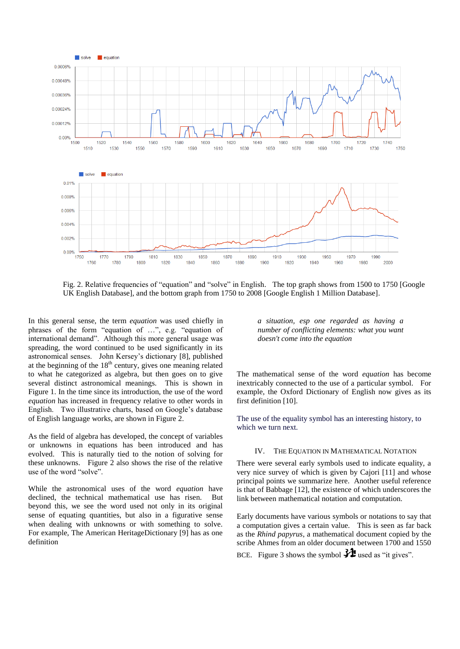

Fig. 2. Relative frequencies of "equation" and "solve" in English. The top graph shows from 1500 to 1750 [Google UK English Database], and the bottom graph from 1750 to 2008 [Google English 1 Million Database].

In this general sense, the term *equation* was used chiefly in phrases of the form "equation of …", e.g. "equation of international demand". Although this more general usage was spreading, the word continued to be used significantly in its astronomical senses. John Kersey's dictionary [8], published at the beginning of the  $18<sup>th</sup>$  century, gives one meaning related to what he categorized as algebra, but then goes on to give several distinct astronomical meanings. This is shown in Figure 1. In the time since its introduction, the use of the word *equation* has increased in frequency relative to other words in English. Two illustrative charts, based on Google's database of English language works, are shown in Figure 2.

As the field of algebra has developed, the concept of variables or unknowns in equations has been introduced and has evolved. This is naturally tied to the notion of solving for these unknowns. Figure 2 also shows the rise of the relative use of the word "solve".

While the astronomical uses of the word *equation* have declined, the technical mathematical use has risen. But beyond this, we see the word used not only in its original sense of equating quantities, but also in a figurative sense when dealing with unknowns or with something to solve. For example, The American HeritageDictionary [9] has as one definition

*a situation, esp one regarded as having a number of conflicting elements: what you want doesn't come into the equation*

The mathematical sense of the word *equation* has become inextricably connected to the use of a particular symbol. For example, the Oxford Dictionary of English now gives as its first definition [10].

The use of the equality symbol has an interesting history, to which we turn next.

### IV. THE EQUATION IN MATHEMATICAL NOTATION

There were several early symbols used to indicate equality, a very nice survey of which is given by Cajori [11] and whose principal points we summarize here. Another useful reference is that of Babbage [12], the existence of which underscores the link between mathematical notation and computation.

Early documents have various symbols or notations to say that a computation gives a certain value. This is seen as far back as the *Rhind papyrus*, a mathematical document copied by the scribe Ahmes from an older document between 1700 and 1550

BCE. Figure 3 shows the symbol  $\mathcal{F}$  used as "it gives".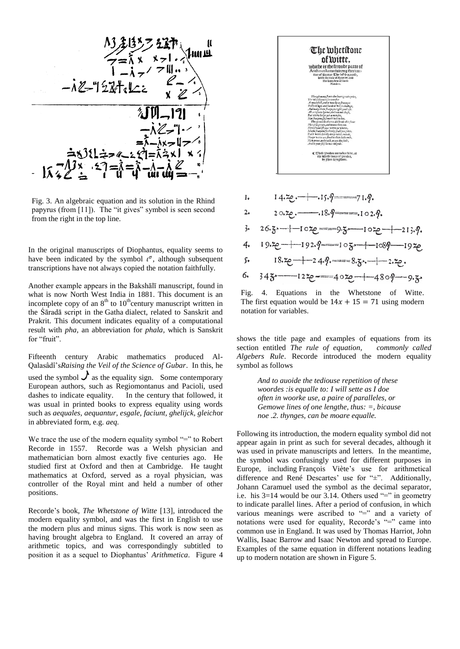

Fig. 3. An algebraic equation and its solution in the Rhind papyrus (from [11]). The "it gives" symbol is seen second from the right in the top line.

In the original manuscripts of Diophantus, equality seems to have been indicated by the symbol  $\iota^{\sigma}$ , although subsequent transcriptions have not always copied the notation faithfully.

Another example appears in the Bakshālī manuscript, found in what is now North West India in 1881. This document is an incomplete copy of an  $8<sup>th</sup>$  to  $10<sup>th</sup>$ century manuscript written in the [Śāradā script](http://en.wikipedia.org/wiki/%C5%9A%C4%81rad%C4%81_script) in the [Gatha](http://en.wikipedia.org/wiki/Gatha) dialect, related to Sanskrit and Prakrit. This document indicates equality of a computational result with *pha,* an abbreviation for *phala,* which is Sanskrit for "fruit".

Fifteenth century Arabic mathematics produced Al-Qalasâdî's*Raising the Veil of the Science of Gubar*. In this, he used the symbol  $\mathcal I$  as the equality sign. Some contemporary European authors, such as Regiomontanus and Pacioli, used dashes to indicate equality. In the century that followed, it was usual in printed books to express equality using words such as *aequales, aequantur, esgale, faciunt, ghelijck, gleich*or in abbreviated form, e.g. *aeq.*

We trace the use of the modern equality symbol "=" to Robert Recorde in 1557. Recorde was a Welsh physician and mathematician born almost exactly five centuries ago. He studied first at Oxford and then at Cambridge. He taught mathematics at Oxford, served as a royal physician, was controller of the Royal mint and held a number of other positions.

Recorde's book, *The Whetstone of Witte* [13]*,* introduced the modern equality symbol, and was the first in English to use the modern plus and minus signs. This work is now seen as having brought algebra to England. It covered an array of arithmetic topics, and was correspondingly subtitled to position it as a sequel to Diophantus' *Arithmetica*. Figure 4



 $I_{*}$  $14.79 - 15.9 - 71.9$  $20.70 - 18.9 = 102.9$  $\overline{2}$ 3.  $26.3 - 1 - 1020 = -9.3 - 1020 - 213.9$  $-192.9$  =  $105 - 1089$  -  $197$ 4.  $18.2e$  - + -2 4.9. - - - 8.3. - + -2.2.  $\mathfrak{c}$ б.  $343$  ----1220 ---4020 ---4809 -- 9.3

Fig. 4. Equations in the Whetstone of Witte. The first equation would be  $14x + 15 = 71$  using modern notation for variables.

shows the title page and examples of equations from its section entitled *The rule of equation, commonly called Algebers Rule*. Recorde introduced the modern equality symbol as follows

> *And to auoide the tediouse repetition of these woordes :is equalle to: I will sette as I doe often in woorke use, a paire of paralleles, or Gemowe lines of one lengthe, thus: =, bicause noe .2. thynges, can be moare equalle.*

Following its introduction, the modern equality symbol did not appear again in print as such for several decades, although it was used in private manuscripts and letters. In the meantime, the symbol was confusingly used for different purposes in Europe, including [François Viète'](http://en.wikipedia.org/wiki/Fran%C3%A7ois_Vi%C3%A8te)s use for arithmetical difference and René Descartes' use for "±". Additionally, Johann Caramuel used the symbol as the decimal separator, i.e. his  $3=14$  would be our 3.14. Others used "=" in geometry to indicate parallel lines. After a period of confusion, in which various meanings were ascribed to "=" and a variety of notations were used for equality, Recorde's "=" came into common use in England. It was used by Thomas Harriot, John Wallis, Isaac Barrow and Isaac Newton and spread to Europe. Examples of the same equation in different notations leading up to modern notation are shown in Figure 5.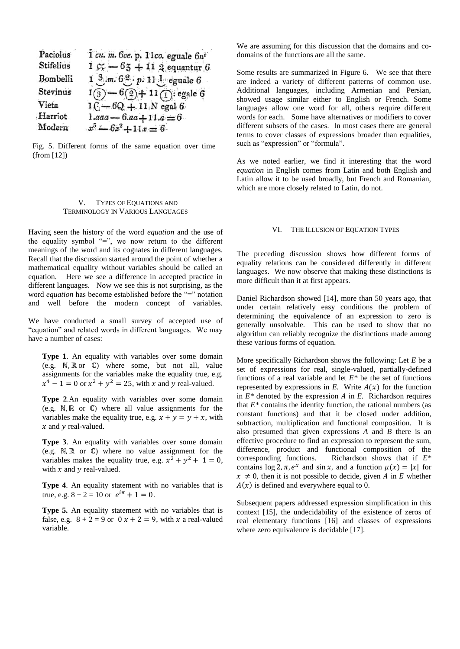| Paciolus  | 1 cu. m. 6ce. p. 11co. eguale 6n <sup>i</sup>       |
|-----------|-----------------------------------------------------|
| Stifelius | $1 \text{ }\alpha - 63 + 11 \text{ }2$ equantur 6   |
| Bombelli  | $1\frac{3}{2}$ m. $6\frac{2}{7}$ p. 11 $1$ eguale 6 |
| Stevinus  | $1(3) - 6(2) + 11(1)$ : egale 6                     |
| Vieta     | $1(-6Q + 11)N$ egal 6                               |
| Harriot   | $1. a$ aa - 6.aa + 11.a = 6                         |
| Modern    | $x^5 - 6x^2 + 11x = 6$                              |

Fig. 5. Different forms of the same equation over time (from [12])

## V. TYPES OF EQUATIONS AND TERMINOLOGY IN VARIOUS LANGUAGES

Having seen the history of the word *equation* and the use of the equality symbol  $x = y$ , we now return to the different meanings of the word and its cognates in different languages. Recall that the discussion started around the point of whether a mathematical equality without variables should be called an equation. Here we see a difference in accepted practice in different languages. Now we see this is not surprising, as the word *equation* has become established before the "=" notation and well before the modern concept of variables.

We have conducted a small survey of accepted use of "equation" and related words in different languages. We may have a number of cases:

**Type 1**. An equality with variables over some domain (e.g.  $N$ ,  $\mathbb{R}$  or  $\mathbb{C}$ ) where some, but not all, value assignments for the variables make the equality true, e.g.  $x^4 - 1 = 0$  or  $x^2 + y^2 = 25$ , with x and y real-valued.

**Type 2**.An equality with variables over some domain (e.g.  $N, R$  or  $C$ ) where all value assignments for the variables make the equality true, e.g.  $x + y = y + x$ , with  $x$  and  $y$  real-valued.

**Type 3**. An equality with variables over some domain (e.g.  $N$ ,  $R$  or  $C$ ) where no value assignment for the variables makes the equality true, e.g.  $x^2 + y^2 + 1 = 0$ , with  $x$  and  $y$  real-valued.

**Type 4**. An equality statement with no variables that is true, e.g.  $8 + 2 = 10$  or  $e^{i\pi} + 1 = 0$ .

**Type 5.** An equality statement with no variables that is false, e.g.  $8 + 2 = 9$  or  $0x + 2 = 9$ , with x a real-valued variable.

We are assuming for this discussion that the domains and codomains of the functions are all the same.

Some results are summarized in Figure 6. We see that there are indeed a variety of different patterns of common use. Additional languages, including Armenian and Persian, showed usage similar either to English or French. Some languages allow one word for all, others require different words for each. Some have alternatives or modifiers to cover different subsets of the cases. In most cases there are general terms to cover classes of expressions broader than equalities, such as "expression" or "formula".

As we noted earlier, we find it interesting that the word *equation* in English comes from Latin and both English and Latin allow it to be used broadly, but French and Romanian, which are more closely related to Latin, do not.

#### VI. THE ILLUSION OF EQUATION TYPES

The preceding discussion shows how different forms of equality relations can be considered differently in different languages. We now observe that making these distinctions is more difficult than it at first appears.

Daniel Richardson showed [14], more than 50 years ago, that under certain relatively easy conditions the problem of determining the equivalence of an expression to zero is generally unsolvable. This can be used to show that no algorithm can reliably recognize the distinctions made among these various forms of equation.

More specifically Richardson shows the following: Let *E* be a set of expressions for real, single-valued, partially-defined functions of a real variable and let  $E^*$  be the set of functions represented by expressions in  $E$ . Write  $A(x)$  for the function in  $E^*$  denoted by the expression A in E. Richardson requires that  $E^*$  contains the identity function, the rational numbers (as constant functions) and that it be closed under addition, subtraction, multiplication and functional composition. It is also presumed that given expressions *A* and *B* there is an effective procedure to find an expression to represent the sum, difference, product and functional composition of the corresponding functions. Richardson shows that if *E\**  contains  $\log 2$ ,  $\pi$ ,  $e^x$  and  $\sin x$ , and a function  $\mu(x) = |x|$  for  $x \neq 0$ , then it is not possible to decide, given A in E whether  $A(x)$  is defined and everywhere equal to 0.

Subsequent papers addressed expression simplification in this context [15], the undecidability of the existence of zeros of real elementary functions [16] and classes of expressions where zero equivalence is decidable [17].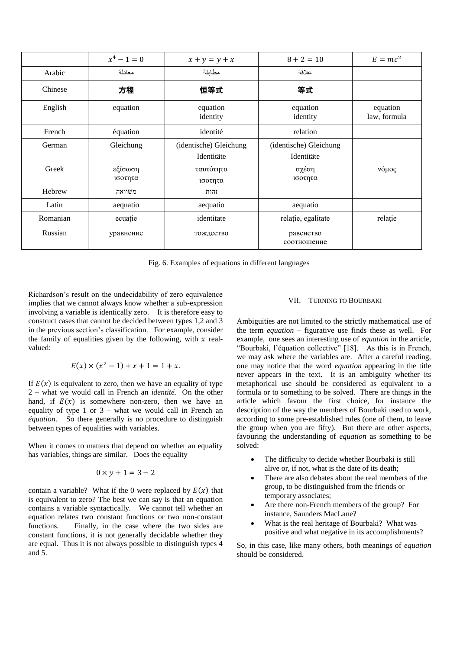|          | $x^4 - 1 = 0$      | $x + y = y + x$                      | $8 + 2 = 10$                         | $E = mc^2$               |
|----------|--------------------|--------------------------------------|--------------------------------------|--------------------------|
| Arabic   | معادلة             | مطابقة                               | علاقة                                |                          |
| Chinese  | 方程                 | 恒等式                                  | 等式                                   |                          |
| English  | equation           | equation<br>identity                 | equation<br>identity                 | equation<br>law, formula |
| French   | équation           | identité                             | relation                             |                          |
| German   | Gleichung          | (identische) Gleichung<br>Identitäte | (identische) Gleichung<br>Identitäte |                          |
| Greek    | εξίσωση<br>ισοτητα | ταυτότητα<br>ισοτητα                 | σχέση<br>ισοτητα                     | νόμος                    |
| Hebrew   | משוואה             | זהות                                 |                                      |                          |
| Latin    | aequatio           | aequatio                             | aequatio                             |                          |
| Romanian | ecuație            | identitate                           | relație, egalitate                   | relație                  |
| Russian  | уравнение          | тождество                            | равенство<br>соотношение             |                          |

Fig. 6. Examples of equations in different languages

Richardson's result on the undecidability of zero equivalence implies that we cannot always know whether a sub-expression involving a variable is identically zero. It is therefore easy to construct cases that cannot be decided between types 1,2 and 3 in the previous section's classification. For example, consider the family of equalities given by the following, with  $x$  realvalued:

$$
E(x) \times (x^2 - 1) + x + 1 = 1 + x.
$$

If  $E(x)$  is equivalent to zero, then we have an equality of type 2 ‒ what we would call in French an *identité.* On the other hand, if  $E(x)$  is somewhere non-zero, then we have an equality of type 1 or  $3$  – what we would call in French an *équation*. So there generally is no procedure to distinguish between types of equalities with variables.

When it comes to matters that depend on whether an equality has variables, things are similar. Does the equality

$$
0 \times y + 1 = 3 - 2
$$

contain a variable? What if the 0 were replaced by  $E(x)$  that is equivalent to zero? The best we can say is that an equation contains a variable syntactically. We cannot tell whether an equation relates two constant functions or two non-constant functions. Finally, in the case where the two sides are constant functions, it is not generally decidable whether they are equal. Thus it is not always possible to distinguish types 4 and 5.

### VII. TURNING TO BOURBAKI

Ambiguities are not limited to the strictly mathematical use of the term *equation* – figurative use finds these as well. For example, one sees an interesting use of *equation* in the article, "Bourbaki, l'équation collective" [18]. As this is in French, we may ask where the variables are. After a careful reading, one may notice that the word *equation* appearing in the title never appears in the text. It is an ambiguity whether its metaphorical use should be considered as equivalent to a formula or to something to be solved. There are things in the article which favour the first choice, for instance the description of the way the members of Bourbaki used to work, according to some pre-established rules (one of them, to leave the group when you are fifty). But there are other aspects, favouring the understanding of *equation* as something to be solved:

- The difficulty to decide whether Bourbaki is still alive or, if not, what is the date of its death;
- There are also debates about the real members of the group, to be distinguished from the friends or temporary associates;
- Are there non-French members of the group? For instance, Saunders MacLane?
- What is the real heritage of Bourbaki? What was positive and what negative in its accomplishments?

So, in this case, like many others, both meanings of *equation* should be considered.